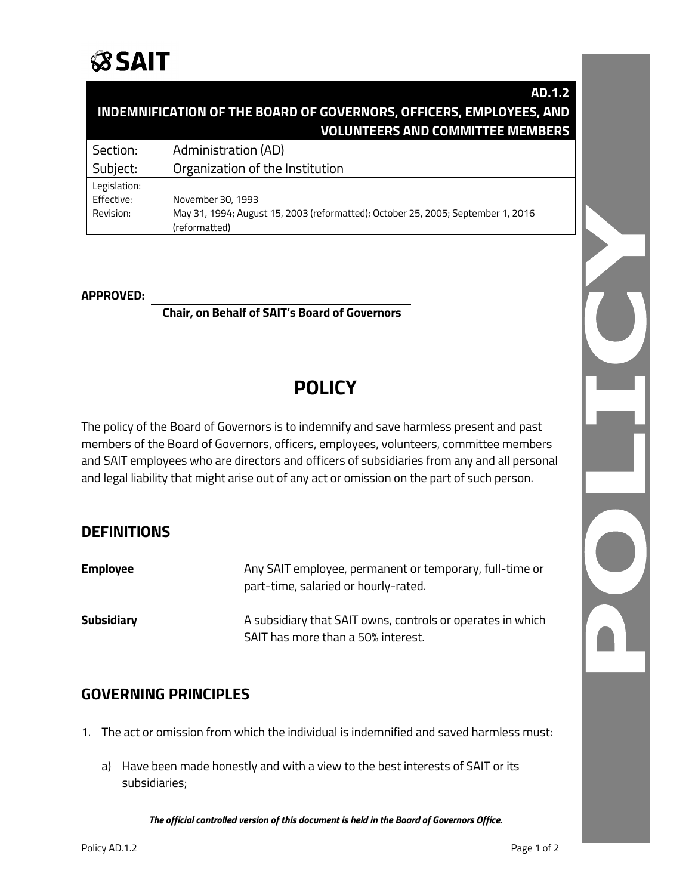

### **AD.1.2 INDEMNIFICATION OF THE BOARD OF GOVERNORS, OFFICERS, EMPLOYEES, AND VOLUNTEERS AND COMMITTEE MEMBERS**

Section: Administration (AD)

Subject: Organization of the Institution Legislation:

Effective: November 30, 1993 Revision: May 31, 1994; August 15, 2003 (reformatted); October 25, 2005; September 1, 2016 (reformatted)

#### **APPROVED:**

**Chair, on Behalf of SAIT's Board of Governors**

# **POLICY**

The policy of the Board of Governors is to indemnify and save harmless present and past members of the Board of Governors, officers, employees, volunteers, committee members and SAIT employees who are directors and officers of subsidiaries from any and all personal and legal liability that might arise out of any act or omission on the part of such person.

### **DEFINITIONS**

| <b>Employee</b> | Any SAIT employee, permanent or temporary, full-time or<br>part-time, salaried or hourly-rated.  |
|-----------------|--------------------------------------------------------------------------------------------------|
| Subsidiary      | A subsidiary that SAIT owns, controls or operates in which<br>SAIT has more than a 50% interest. |

## **GOVERNING PRINCIPLES**

- 1. The act or omission from which the individual is indemnified and saved harmless must:
	- a) Have been made honestly and with a view to the best interests of SAIT or its subsidiaries;

*The official controlled version of this document is held in the Board of Governors Office.*